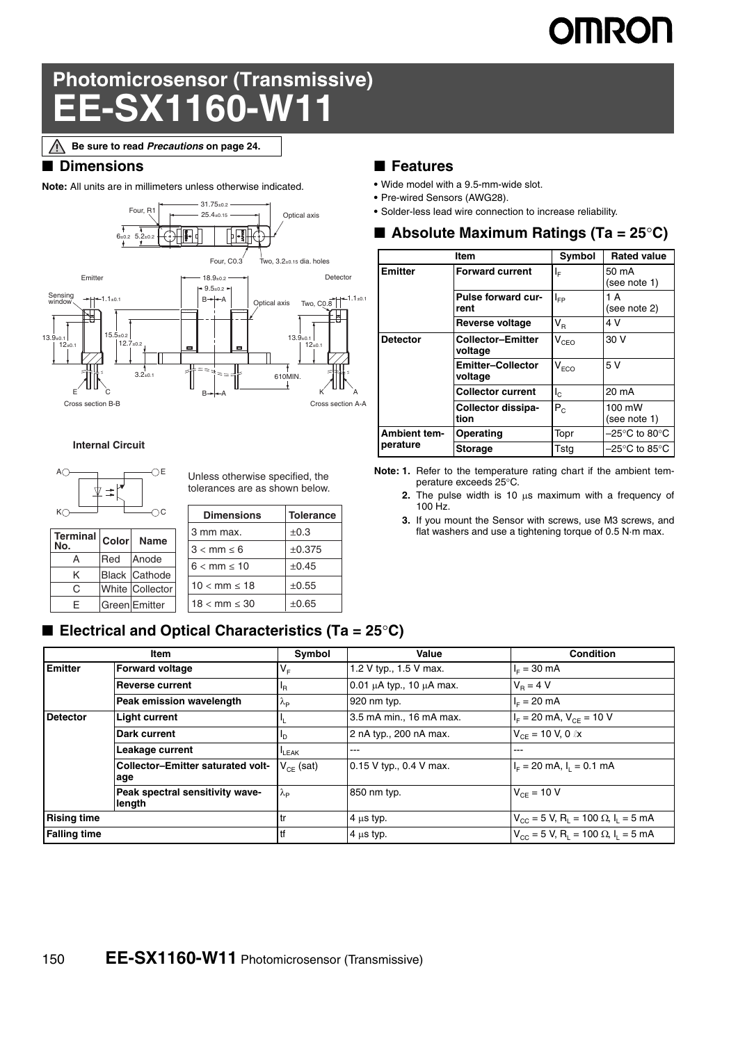# **OMRON**

## **Photomicrosensor (Transmissive) EE-SX1160-W11**

**Be sure to read** *Precautions* **on page 24.**

### ■ **Dimensions**

**Note:** All units are in millimeters unless otherwise indicated.



### **Internal Circuit**



**Terminal No.** 

Unless otherwise specified, the tolerances are as shown below.

| K()<br>DС |              |                      | <b>Dimensions</b>        | <b>Tolerance</b> |
|-----------|--------------|----------------------|--------------------------|------------------|
| Terminal  | <b>Color</b> | <b>Name</b>          | 3 mm max.                | $\pm 0.3$        |
| No.       |              |                      | $3 < mm \leq 6$          | ±0.375           |
| А         | Red          | Anode                | $6 < mm \leq 10$         | $\pm 0.45$       |
| Κ         |              | <b>Black Cathode</b> |                          |                  |
| C         |              | White Collector      | $10 < mm \le 18$         | $\pm 0.55$       |
| F         |              | Green Emitter        | $18 < \text{mm} \leq 30$ | $\pm 0.65$       |

### ■ **Electrical and Optical Characteristics (Ta = 25<sup>o</sup>C)**

### **Item Symbol Value Condition Emitter** Forward voltage  $V_F$  1.2 V typ., 1.5 V max.  $|I_F| = 30$  mA **Reverse current**  $I_R$   $\begin{bmatrix} 0.01 \mu A \text{ typ.} & 10 \mu A \text{ max.} \end{bmatrix}$   $V_R = 4 \text{ V}$ **Peak emission wavelength**  $\lambda_P$  920 nm typ. IF = 20 mA **Detector** Light current  $I_L$  3.5 mA min., 16 mA max.  $I_F = 20$  mA,  $V_{CE} = 10$  V **Dark current**  $\begin{vmatrix} 1_{D} \end{vmatrix}$  2 nA typ., 200 nA max.  $\begin{vmatrix} 1_{CE} = 10 \end{vmatrix}$  V, 0 lx Leakage current  $\left|\right|_{\left|\right|_{\left|\right| \leq A(K)}}$ **Collector–Emitter saturated voltage**  $V_{CE}$  (sat)  $0.15$  V typ., 0.4 V max.  $I_F = 20$  mA,  $I_L = 0.1$  mA **Peak spectral sensitivity wavelength**  $\lambda_{\rm P}$  850 nm typ.  $V_{\rm CE} = 10 \text{ V}$ **Rising time** tr  $\begin{array}{c|c|c|c|c|c} & & & & \text{if} & \text{if} & \text{if} & \text{if} & \text{if} & \text{if} & \text{if} & \text{if} & \text{if} & \text{if} & \text{if} & \text{if} & \text{if} & \text{if} & \text{if} & \text{if} & \text{if} & \text{if} & \text{if} & \text{if} & \text{if} & \text{if} & \text{if} & \text{if} & \text{if} & \text{if} & \text{if} & \text{if} & \text{if} & \text{if} & \text$ **Falling time** the state of  $V_{\text{CC}} = 5$  V, R<sub>L</sub> = 100  $\Omega$ , I<sub>L</sub> = 5 mA

### ■ **Features**

- **•** Wide model with a 9.5-mm-wide slot.
- **•** Pre-wired Sensors (AWG28).
- **•** Solder-less lead wire connection to increase reliability.

### ■ **Absolute Maximum Ratings (Ta = 25C)**

|                     | Item                                | Symbol                  | <b>Rated value</b>                 |
|---------------------|-------------------------------------|-------------------------|------------------------------------|
| <b>Emitter</b>      | <b>Forward current</b>              | ΙĘ                      | 50 mA<br>(see note 1)              |
|                     | Pulse forward cur-<br>rent          | $I_{FP}$                | 1 A<br>(see note 2)                |
|                     | Reverse voltage                     | $\mathsf{V}_\mathsf{R}$ | 4 V                                |
| <b>Detector</b>     | <b>Collector-Emitter</b><br>voltage | $V_{CEO}$               | 30 V                               |
|                     | <b>Emitter-Collector</b><br>voltage | $V_{ECO}$               | 5 V                                |
|                     | <b>Collector current</b>            | $I_{\rm c}$             | 20 mA                              |
|                     | Collector dissipa-<br>tion          | $P_{C}$                 | 100 mW<br>(see note 1)             |
| <b>Ambient tem-</b> | Operating                           | Topr                    | $-25^{\circ}$ C to 80 $^{\circ}$ C |
| perature            | <b>Storage</b>                      | Tstg                    | $-25^{\circ}$ C to 85 $^{\circ}$ C |

- **Note: 1.** Refer to the temperature rating chart if the ambient temperature exceeds 25°C.
	- **2.** The pulse width is 10  $\mu$ s maximum with a frequency of 100 Hz.
	- **3.** If you mount the Sensor with screws, use M3 screws, and flat washers and use a tightening torque of 0.5 N·m max.